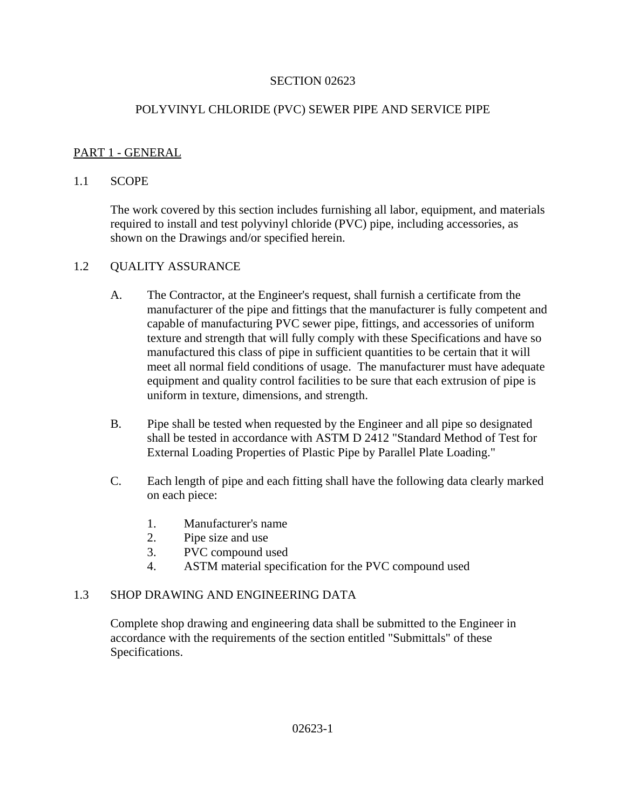#### SECTION 02623

### POLYVINYL CHLORIDE (PVC) SEWER PIPE AND SERVICE PIPE

#### PART 1 - GENERAL

#### 1.1 SCOPE

The work covered by this section includes furnishing all labor, equipment, and materials required to install and test polyvinyl chloride (PVC) pipe, including accessories, as shown on the Drawings and/or specified herein.

#### 1.2 OUALITY ASSURANCE

- A. The Contractor, at the Engineer's request, shall furnish a certificate from the manufacturer of the pipe and fittings that the manufacturer is fully competent and capable of manufacturing PVC sewer pipe, fittings, and accessories of uniform texture and strength that will fully comply with these Specifications and have so manufactured this class of pipe in sufficient quantities to be certain that it will meet all normal field conditions of usage. The manufacturer must have adequate equipment and quality control facilities to be sure that each extrusion of pipe is uniform in texture, dimensions, and strength.
- B. Pipe shall be tested when requested by the Engineer and all pipe so designated shall be tested in accordance with ASTM D 2412 "Standard Method of Test for External Loading Properties of Plastic Pipe by Parallel Plate Loading."
- C. Each length of pipe and each fitting shall have the following data clearly marked on each piece:
	- 1. Manufacturer's name
	- 2. Pipe size and use
	- 3. PVC compound used
	- 4. ASTM material specification for the PVC compound used

### 1.3 SHOP DRAWING AND ENGINEERING DATA

Complete shop drawing and engineering data shall be submitted to the Engineer in accordance with the requirements of the section entitled "Submittals" of these Specifications.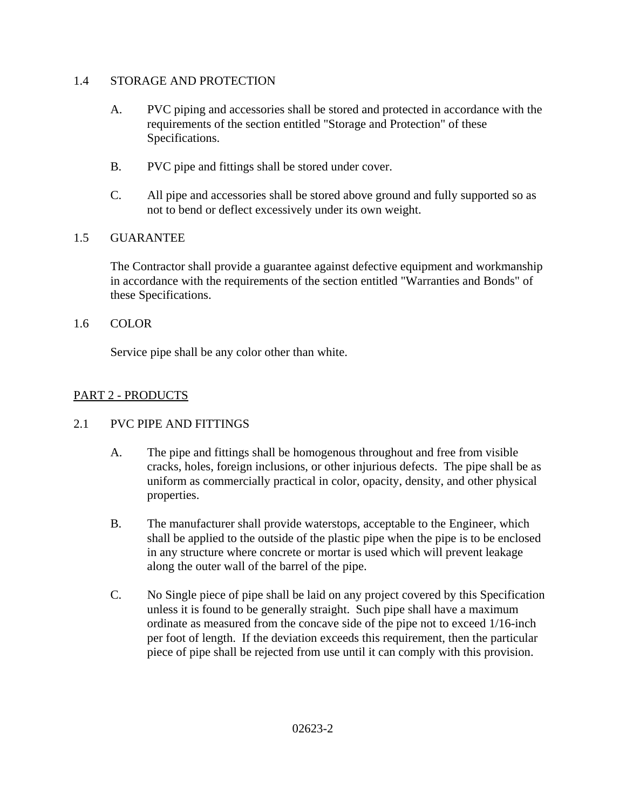### 1.4 STORAGE AND PROTECTION

- A. PVC piping and accessories shall be stored and protected in accordance with the requirements of the section entitled "Storage and Protection" of these Specifications.
- B. PVC pipe and fittings shall be stored under cover.
- C. All pipe and accessories shall be stored above ground and fully supported so as not to bend or deflect excessively under its own weight.

## 1.5 GUARANTEE

The Contractor shall provide a guarantee against defective equipment and workmanship in accordance with the requirements of the section entitled "Warranties and Bonds" of these Specifications.

### 1.6 COLOR

Service pipe shall be any color other than white.

# PART 2 - PRODUCTS

## 2.1 PVC PIPE AND FITTINGS

- A. The pipe and fittings shall be homogenous throughout and free from visible cracks, holes, foreign inclusions, or other injurious defects. The pipe shall be as uniform as commercially practical in color, opacity, density, and other physical properties.
- B. The manufacturer shall provide waterstops, acceptable to the Engineer, which shall be applied to the outside of the plastic pipe when the pipe is to be enclosed in any structure where concrete or mortar is used which will prevent leakage along the outer wall of the barrel of the pipe.
- C. No Single piece of pipe shall be laid on any project covered by this Specification unless it is found to be generally straight. Such pipe shall have a maximum ordinate as measured from the concave side of the pipe not to exceed 1/16-inch per foot of length. If the deviation exceeds this requirement, then the particular piece of pipe shall be rejected from use until it can comply with this provision.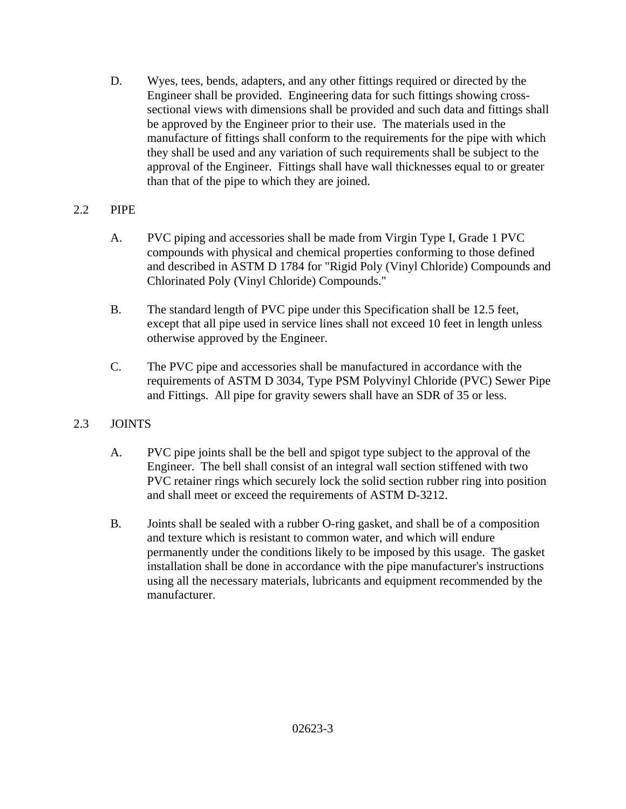D. Wyes, tees, bends, adapters, and any other fittings required or directed by the Engineer shall be provided. Engineering data for such fittings showing crosssectional views with dimensions shall be provided and such data and fittings shall be approved by the Engineer prior to their use. The materials used in the manufacture of fittings shall conform to the requirements for the pipe with which they shall be used and any variation of such requirements shall be subject to the approval of the Engineer. Fittings shall have wall thicknesses equal to or greater than that of the pipe to which they are joined.

## 2.2 PIPE

- A. PVC piping and accessories shall be made from Virgin Type I, Grade 1 PVC compounds with physical and chemical properties conforming to those defined and described in ASTM D 1784 for "Rigid Poly (Vinyl Chloride) Compounds and Chlorinated Poly (Vinyl Chloride) Compounds."
- B. The standard length of PVC pipe under this Specification shall be 12.5 feet, except that all pipe used in service lines shall not exceed 10 feet in length unless otherwise approved by the Engineer.
- C. The PVC pipe and accessories shall be manufactured in accordance with the requirements of ASTM D 3034, Type PSM Polyvinyl Chloride (PVC) Sewer Pipe and Fittings. All pipe for gravity sewers shall have an SDR of 35 or less.

# 2.3 JOINTS

- A. PVC pipe joints shall be the bell and spigot type subject to the approval of the Engineer. The bell shall consist of an integral wall section stiffened with two PVC retainer rings which securely lock the solid section rubber ring into position and shall meet or exceed the requirements of ASTM D-3212.
- B. Joints shall be sealed with a rubber O-ring gasket, and shall be of a composition and texture which is resistant to common water, and which will endure permanently under the conditions likely to be imposed by this usage. The gasket installation shall be done in accordance with the pipe manufacturer's instructions using all the necessary materials, lubricants and equipment recommended by the manufacturer.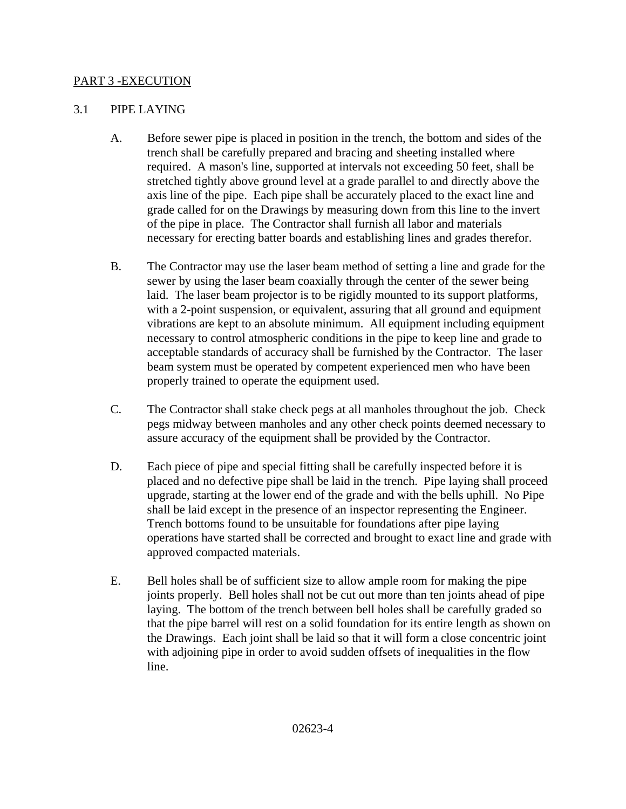### PART 3 -EXECUTION

#### 3.1 PIPE LAYING

- A. Before sewer pipe is placed in position in the trench, the bottom and sides of the trench shall be carefully prepared and bracing and sheeting installed where required. A mason's line, supported at intervals not exceeding 50 feet, shall be stretched tightly above ground level at a grade parallel to and directly above the axis line of the pipe. Each pipe shall be accurately placed to the exact line and grade called for on the Drawings by measuring down from this line to the invert of the pipe in place. The Contractor shall furnish all labor and materials necessary for erecting batter boards and establishing lines and grades therefor.
- B. The Contractor may use the laser beam method of setting a line and grade for the sewer by using the laser beam coaxially through the center of the sewer being laid. The laser beam projector is to be rigidly mounted to its support platforms, with a 2-point suspension, or equivalent, assuring that all ground and equipment vibrations are kept to an absolute minimum. All equipment including equipment necessary to control atmospheric conditions in the pipe to keep line and grade to acceptable standards of accuracy shall be furnished by the Contractor. The laser beam system must be operated by competent experienced men who have been properly trained to operate the equipment used.
- C. The Contractor shall stake check pegs at all manholes throughout the job. Check pegs midway between manholes and any other check points deemed necessary to assure accuracy of the equipment shall be provided by the Contractor.
- D. Each piece of pipe and special fitting shall be carefully inspected before it is placed and no defective pipe shall be laid in the trench. Pipe laying shall proceed upgrade, starting at the lower end of the grade and with the bells uphill. No Pipe shall be laid except in the presence of an inspector representing the Engineer. Trench bottoms found to be unsuitable for foundations after pipe laying operations have started shall be corrected and brought to exact line and grade with approved compacted materials.
- E. Bell holes shall be of sufficient size to allow ample room for making the pipe joints properly. Bell holes shall not be cut out more than ten joints ahead of pipe laying. The bottom of the trench between bell holes shall be carefully graded so that the pipe barrel will rest on a solid foundation for its entire length as shown on the Drawings. Each joint shall be laid so that it will form a close concentric joint with adjoining pipe in order to avoid sudden offsets of inequalities in the flow line.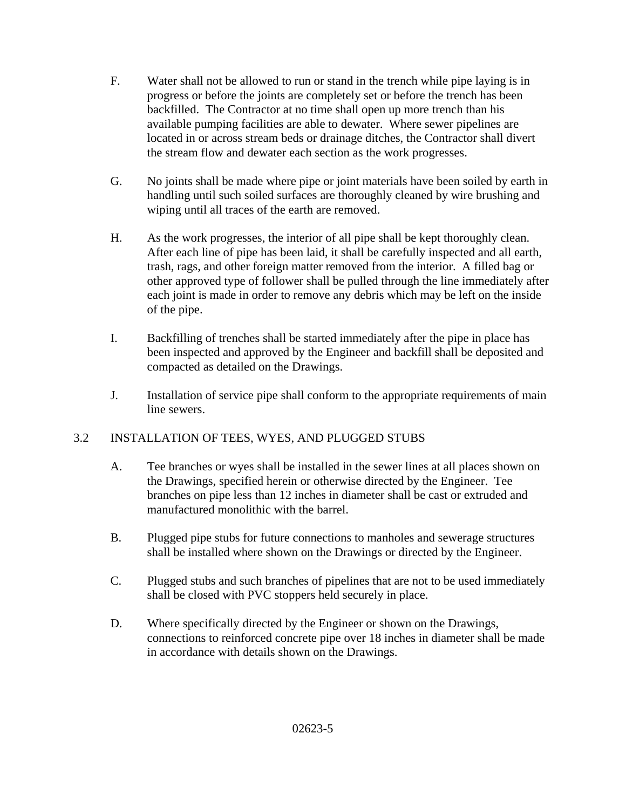- F. Water shall not be allowed to run or stand in the trench while pipe laying is in progress or before the joints are completely set or before the trench has been backfilled. The Contractor at no time shall open up more trench than his available pumping facilities are able to dewater. Where sewer pipelines are located in or across stream beds or drainage ditches, the Contractor shall divert the stream flow and dewater each section as the work progresses.
- G. No joints shall be made where pipe or joint materials have been soiled by earth in handling until such soiled surfaces are thoroughly cleaned by wire brushing and wiping until all traces of the earth are removed.
- H. As the work progresses, the interior of all pipe shall be kept thoroughly clean. After each line of pipe has been laid, it shall be carefully inspected and all earth, trash, rags, and other foreign matter removed from the interior. A filled bag or other approved type of follower shall be pulled through the line immediately after each joint is made in order to remove any debris which may be left on the inside of the pipe.
- I. Backfilling of trenches shall be started immediately after the pipe in place has been inspected and approved by the Engineer and backfill shall be deposited and compacted as detailed on the Drawings.
- J. Installation of service pipe shall conform to the appropriate requirements of main line sewers.

## 3.2 INSTALLATION OF TEES, WYES, AND PLUGGED STUBS

- A. Tee branches or wyes shall be installed in the sewer lines at all places shown on the Drawings, specified herein or otherwise directed by the Engineer. Tee branches on pipe less than 12 inches in diameter shall be cast or extruded and manufactured monolithic with the barrel.
- B. Plugged pipe stubs for future connections to manholes and sewerage structures shall be installed where shown on the Drawings or directed by the Engineer.
- C. Plugged stubs and such branches of pipelines that are not to be used immediately shall be closed with PVC stoppers held securely in place.
- D. Where specifically directed by the Engineer or shown on the Drawings, connections to reinforced concrete pipe over 18 inches in diameter shall be made in accordance with details shown on the Drawings.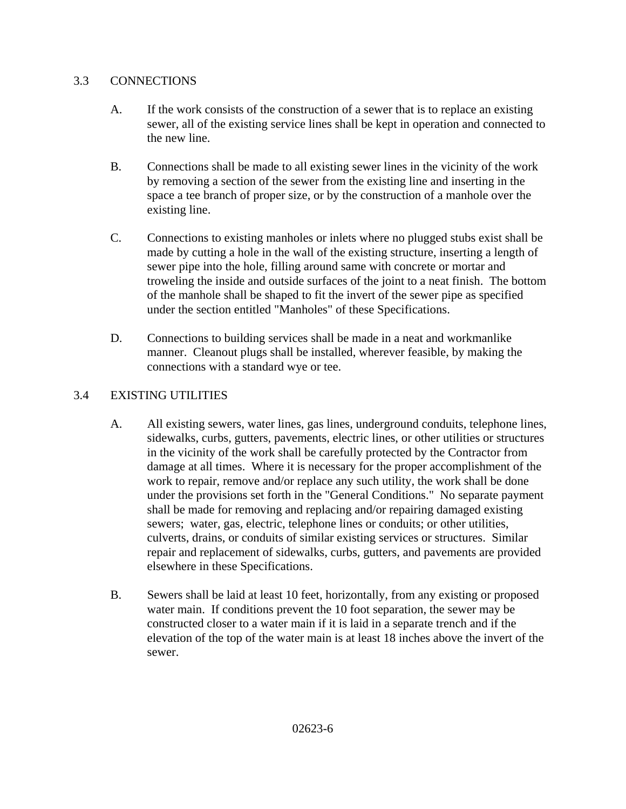### 3.3 CONNECTIONS

- A. If the work consists of the construction of a sewer that is to replace an existing sewer, all of the existing service lines shall be kept in operation and connected to the new line.
- B. Connections shall be made to all existing sewer lines in the vicinity of the work by removing a section of the sewer from the existing line and inserting in the space a tee branch of proper size, or by the construction of a manhole over the existing line.
- C. Connections to existing manholes or inlets where no plugged stubs exist shall be made by cutting a hole in the wall of the existing structure, inserting a length of sewer pipe into the hole, filling around same with concrete or mortar and troweling the inside and outside surfaces of the joint to a neat finish. The bottom of the manhole shall be shaped to fit the invert of the sewer pipe as specified under the section entitled "Manholes" of these Specifications.
- D. Connections to building services shall be made in a neat and workmanlike manner. Cleanout plugs shall be installed, wherever feasible, by making the connections with a standard wye or tee.

## 3.4 EXISTING UTILITIES

- A. All existing sewers, water lines, gas lines, underground conduits, telephone lines, sidewalks, curbs, gutters, pavements, electric lines, or other utilities or structures in the vicinity of the work shall be carefully protected by the Contractor from damage at all times. Where it is necessary for the proper accomplishment of the work to repair, remove and/or replace any such utility, the work shall be done under the provisions set forth in the "General Conditions." No separate payment shall be made for removing and replacing and/or repairing damaged existing sewers; water, gas, electric, telephone lines or conduits; or other utilities, culverts, drains, or conduits of similar existing services or structures. Similar repair and replacement of sidewalks, curbs, gutters, and pavements are provided elsewhere in these Specifications.
- B. Sewers shall be laid at least 10 feet, horizontally, from any existing or proposed water main. If conditions prevent the 10 foot separation, the sewer may be constructed closer to a water main if it is laid in a separate trench and if the elevation of the top of the water main is at least 18 inches above the invert of the sewer.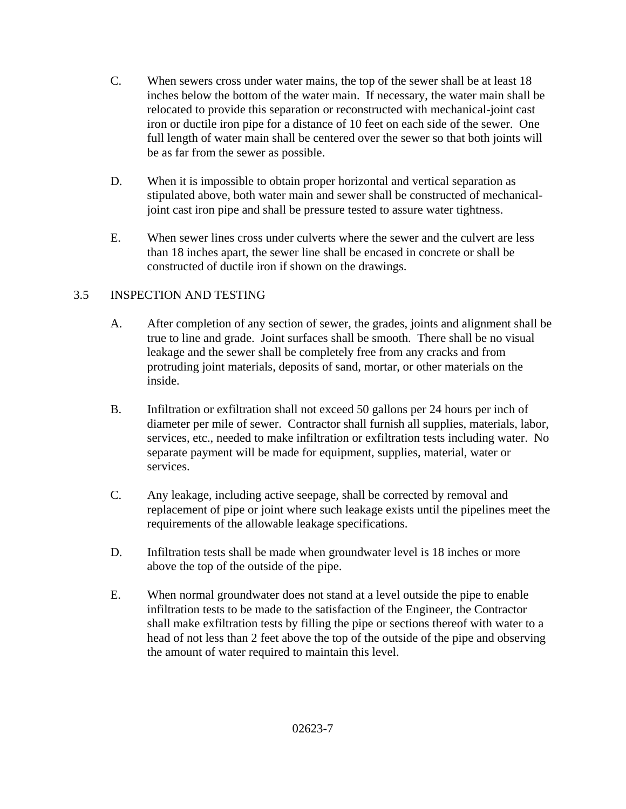- C. When sewers cross under water mains, the top of the sewer shall be at least 18 inches below the bottom of the water main. If necessary, the water main shall be relocated to provide this separation or reconstructed with mechanical-joint cast iron or ductile iron pipe for a distance of 10 feet on each side of the sewer. One full length of water main shall be centered over the sewer so that both joints will be as far from the sewer as possible.
- D. When it is impossible to obtain proper horizontal and vertical separation as stipulated above, both water main and sewer shall be constructed of mechanicaljoint cast iron pipe and shall be pressure tested to assure water tightness.
- E. When sewer lines cross under culverts where the sewer and the culvert are less than 18 inches apart, the sewer line shall be encased in concrete or shall be constructed of ductile iron if shown on the drawings.

# 3.5 INSPECTION AND TESTING

- A. After completion of any section of sewer, the grades, joints and alignment shall be true to line and grade. Joint surfaces shall be smooth. There shall be no visual leakage and the sewer shall be completely free from any cracks and from protruding joint materials, deposits of sand, mortar, or other materials on the inside.
- B. Infiltration or exfiltration shall not exceed 50 gallons per 24 hours per inch of diameter per mile of sewer. Contractor shall furnish all supplies, materials, labor, services, etc., needed to make infiltration or exfiltration tests including water. No separate payment will be made for equipment, supplies, material, water or services.
- C. Any leakage, including active seepage, shall be corrected by removal and replacement of pipe or joint where such leakage exists until the pipelines meet the requirements of the allowable leakage specifications.
- D. Infiltration tests shall be made when groundwater level is 18 inches or more above the top of the outside of the pipe.
- E. When normal groundwater does not stand at a level outside the pipe to enable infiltration tests to be made to the satisfaction of the Engineer, the Contractor shall make exfiltration tests by filling the pipe or sections thereof with water to a head of not less than 2 feet above the top of the outside of the pipe and observing the amount of water required to maintain this level.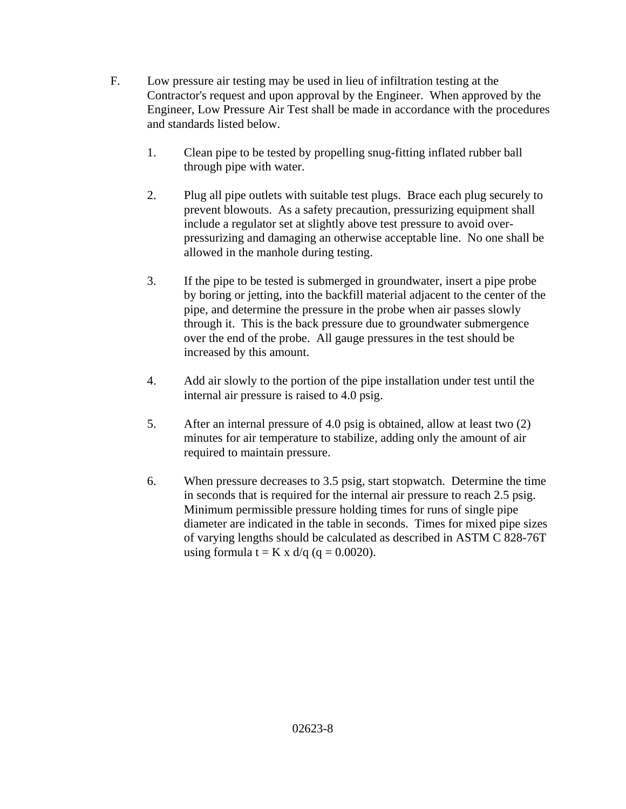- F. Low pressure air testing may be used in lieu of infiltration testing at the Contractor's request and upon approval by the Engineer. When approved by the Engineer, Low Pressure Air Test shall be made in accordance with the procedures and standards listed below.
	- 1. Clean pipe to be tested by propelling snug-fitting inflated rubber ball through pipe with water.
	- 2. Plug all pipe outlets with suitable test plugs. Brace each plug securely to prevent blowouts. As a safety precaution, pressurizing equipment shall include a regulator set at slightly above test pressure to avoid overpressurizing and damaging an otherwise acceptable line. No one shall be allowed in the manhole during testing.
	- 3. If the pipe to be tested is submerged in groundwater, insert a pipe probe by boring or jetting, into the backfill material adjacent to the center of the pipe, and determine the pressure in the probe when air passes slowly through it. This is the back pressure due to groundwater submergence over the end of the probe. All gauge pressures in the test should be increased by this amount.
	- 4. Add air slowly to the portion of the pipe installation under test until the internal air pressure is raised to 4.0 psig.
	- 5. After an internal pressure of 4.0 psig is obtained, allow at least two (2) minutes for air temperature to stabilize, adding only the amount of air required to maintain pressure.
	- 6. When pressure decreases to 3.5 psig, start stopwatch. Determine the time in seconds that is required for the internal air pressure to reach 2.5 psig. Minimum permissible pressure holding times for runs of single pipe diameter are indicated in the table in seconds. Times for mixed pipe sizes of varying lengths should be calculated as described in ASTM C 828-76T using formula  $t = K x d/q$  (q = 0.0020).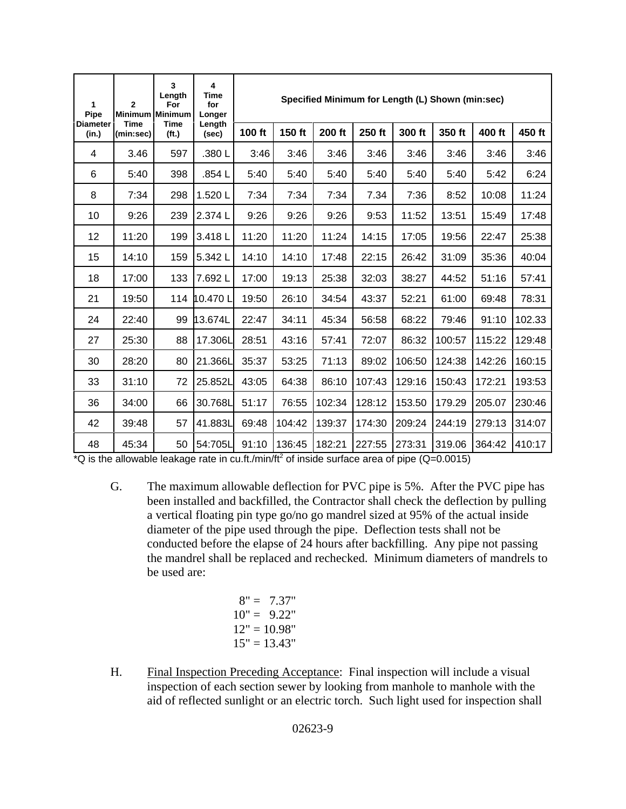| 1<br>Pipe                | $\overline{2}$<br><b>Minimum</b><br><b>Time</b><br>(min:sec) | 3<br>Length<br>For<br><b>Minimum</b><br><b>Time</b><br>(f <sub>t</sub> ) | 4<br>Time<br>for<br>Longer<br>Length<br>(sec) | Specified Minimum for Length (L) Shown (min:sec) |        |        |        |        |        |        |        |
|--------------------------|--------------------------------------------------------------|--------------------------------------------------------------------------|-----------------------------------------------|--------------------------------------------------|--------|--------|--------|--------|--------|--------|--------|
| <b>Diameter</b><br>(in.) |                                                              |                                                                          |                                               | 100 ft                                           | 150 ft | 200 ft | 250 ft | 300 ft | 350 ft | 400 ft | 450 ft |
| 4                        | 3.46                                                         | 597                                                                      | .380L                                         | 3:46                                             | 3:46   | 3:46   | 3:46   | 3:46   | 3:46   | 3:46   | 3:46   |
| 6                        | 5:40                                                         | 398                                                                      | .854L                                         | 5:40                                             | 5:40   | 5:40   | 5:40   | 5:40   | 5:40   | 5:42   | 6:24   |
| 8                        | 7:34                                                         | 298                                                                      | 1.520L                                        | 7:34                                             | 7:34   | 7:34   | 7.34   | 7:36   | 8:52   | 10:08  | 11:24  |
| 10                       | 9:26                                                         | 239                                                                      | 2.374L                                        | 9:26                                             | 9:26   | 9:26   | 9:53   | 11:52  | 13:51  | 15:49  | 17:48  |
| 12                       | 11:20                                                        | 199                                                                      | 3.418L                                        | 11:20                                            | 11:20  | 11:24  | 14:15  | 17:05  | 19:56  | 22:47  | 25:38  |
| 15                       | 14:10                                                        | 159                                                                      | 5.342L                                        | 14:10                                            | 14:10  | 17:48  | 22:15  | 26:42  | 31:09  | 35:36  | 40:04  |
| 18                       | 17:00                                                        | 133                                                                      | 7.692L                                        | 17:00                                            | 19:13  | 25:38  | 32:03  | 38:27  | 44:52  | 51:16  | 57:41  |
| 21                       | 19:50                                                        | 114                                                                      | 10.470L                                       | 19:50                                            | 26:10  | 34:54  | 43:37  | 52:21  | 61:00  | 69:48  | 78:31  |
| 24                       | 22:40                                                        | 99                                                                       | 13.674L                                       | 22:47                                            | 34:11  | 45:34  | 56:58  | 68:22  | 79:46  | 91:10  | 102.33 |
| 27                       | 25:30                                                        | 88                                                                       | 17.306L                                       | 28:51                                            | 43:16  | 57:41  | 72:07  | 86:32  | 100:57 | 115:22 | 129:48 |
| 30                       | 28:20                                                        | 80                                                                       | 21.366L                                       | 35:37                                            | 53:25  | 71:13  | 89:02  | 106:50 | 124:38 | 142:26 | 160:15 |
| 33                       | 31:10                                                        | 72                                                                       | 25.852L                                       | 43:05                                            | 64:38  | 86:10  | 107:43 | 129:16 | 150:43 | 172:21 | 193:53 |
| 36                       | 34:00                                                        | 66                                                                       | 30.768L                                       | 51:17                                            | 76:55  | 102:34 | 128:12 | 153.50 | 179.29 | 205.07 | 230:46 |
| 42                       | 39:48                                                        | 57                                                                       | 41.883L                                       | 69:48                                            | 104:42 | 139:37 | 174:30 | 209:24 | 244:19 | 279:13 | 314:07 |
| 48                       | 45:34                                                        | 50                                                                       | 54:705L                                       | 91:10                                            | 136:45 | 182:21 | 227:55 | 273:31 | 319.06 | 364:42 | 410:17 |

 $*Q$  is the allowable leakage rate in cu.ft./min/ft<sup>2</sup> of inside surface area of pipe (Q=0.0015)

G. The maximum allowable deflection for PVC pipe is 5%. After the PVC pipe has been installed and backfilled, the Contractor shall check the deflection by pulling a vertical floating pin type go/no go mandrel sized at 95% of the actual inside diameter of the pipe used through the pipe. Deflection tests shall not be conducted before the elapse of 24 hours after backfilling. Any pipe not passing the mandrel shall be replaced and rechecked. Minimum diameters of mandrels to be used are:

$$
8" = 7.37"
$$
  
\n
$$
10" = 9.22"
$$
  
\n
$$
12" = 10.98"
$$
  
\n
$$
15" = 13.43"
$$

H. Final Inspection Preceding Acceptance: Final inspection will include a visual inspection of each section sewer by looking from manhole to manhole with the aid of reflected sunlight or an electric torch. Such light used for inspection shall